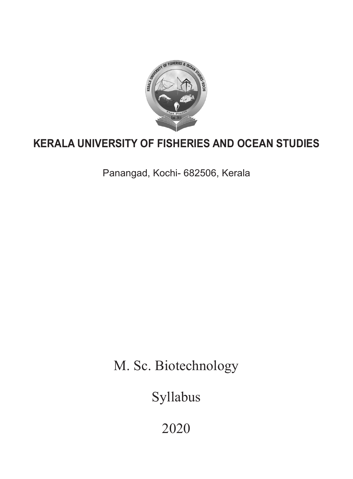

# **KERALA UNIVERSITY OF FISHERIES AND OCEAN STUDIES**

Panangad, Kochi- 682506, Kerala

M. Sc. Biotechnology

Syllabus

2020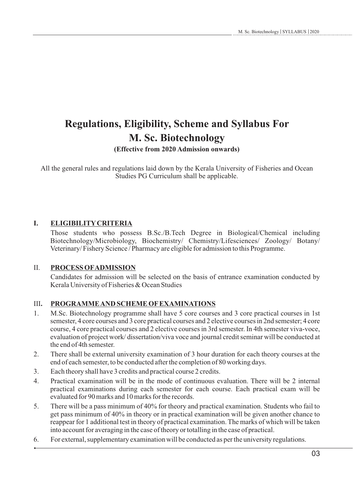# **Regulations, Eligibility, Scheme and Syllabus For M. Sc. Biotechnology**

# **(Effective from 2020 Admission onwards)**

All the general rules and regulations laid down by the Kerala University of Fisheries and Ocean Studies PG Curriculum shall be applicable.

# **I. ELIGIBILITYCRITERIA**

Those students who possess B.Sc./B.Tech Degree in Biological/Chemical including Biotechnology/Microbiology, Biochemistry/ Chemistry/Lifesciences/ Zoology/ Botany/ Veterinary/ Fishery Science / Pharmacy are eligible for admission to this Programme.

# II. **PROCESS OFADMISSION**

Candidates for admission will be selected on the basis of entrance examination conducted by Kerala University of Fisheries & Ocean Studies

# III**. PROGRAMME AND SCHEME OFEXAMINATIONS**

- 1. M.Sc. Biotechnology programme shall have 5 core courses and 3 core practical courses in 1st semester, 4 core courses and 3 core practical courses and 2 elective courses in 2nd semester; 4 core course, 4 core practical courses and 2 elective courses in 3rd semester. In 4th semester viva-voce, evaluation of project work/ dissertation/viva voce and journal credit seminar will be conducted at the end of 4th semester.
- 2. There shall be external university examination of 3 hour duration for each theory courses at the end of each semester, to be conducted after the completion of 80 working days.
- 3. Each theory shall have 3 credits and practical course 2 credits.
- 4. Practical examination will be in the mode of continuous evaluation. There will be 2 internal practical examinations during each semester for each course. Each practical exam will be evaluated for 90 marks and 10 marks for the records.
- 5. There will be a pass minimum of 40% for theory and practical examination. Students who fail to get pass minimum of 40% in theory or in practical examination will be given another chance to reappear for 1 additional test in theory of practical examination. The marks of which will be taken into account for averaging in the case of theory or totalling in the case of practical.
- 6. For external, supplementary examination will be conducted as per the university regulations.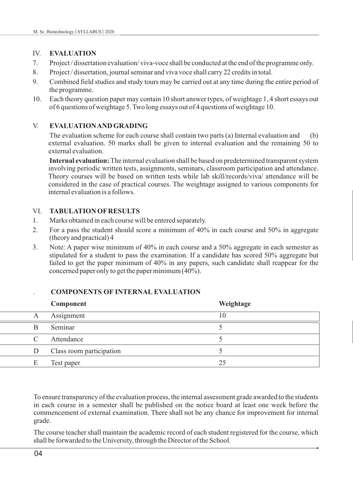## IV. **EVALUATION**

- 7. Project / dissertation evaluation/ viva-voce shall be conducted at the end of the programme only.
- 8. Project / dissertation, journal seminar and viva voce shall carry 22 credits in total.
- 9. Combined field studies and study tours may be carried out at any time during the entire period of the programme.
- 10. Each theory question paper may contain 10 short answer types, of weightage 1, 4 short essays out of 6 questions of weightage 5. Two long essays out of 4 questions of weightage 10.

# V. **EVALUATION AND GRADING**

The evaluation scheme for each course shall contain two parts (a) Internal evaluation and (b) external evaluation. 50 marks shall be given to internal evaluation and the remaining 50 to external evaluation.

**Internal evaluation:**The internal evaluation shall be based on predetermined transparent system involving periodic written tests, assignments, seminars, classroom participation and attendance. Theory courses will be based on written tests while lab skill/records/viva/ attendance will be considered in the case of practical courses. The weightage assigned to various components for internal evaluation is a follows.

## VI. **TABULATION OFRESULTS**

- 1. Marks obtained in each course will be entered separately.
- 2. For a pass the student should score a minimum of 40% in each course and 50% in aggregate (theory and practical) 4
- 3. Note: A paper wise minimum of 40% in each course and a 50% aggregate in each semester as stipulated for a student to pass the examination. If a candidate has scored 50% aggregate but failed to get the paper minimum of 40% in any papers, such candidate shall reappear for the concerned paper only to get the paper minimum (40%).

|   | Component                | Weightage |
|---|--------------------------|-----------|
| A | Assignment               | 10        |
| В | Seminar                  |           |
| C | Attendance               |           |
|   | Class room participation |           |
| F | Test paper               | 25        |

## . **COMPONENTS OF INTERNAL EVALUATION**

To ensure transparency of the evaluation process, the internal assessment grade awarded to the students in each course in a semester shall be published on the notice board at least one week before the commencement of external examination. There shall not be any chance for improvement for internal grade.

The course teacher shall maintain the academic record of each student registered for the course, which shall be forwarded to the University, through the Director of the School.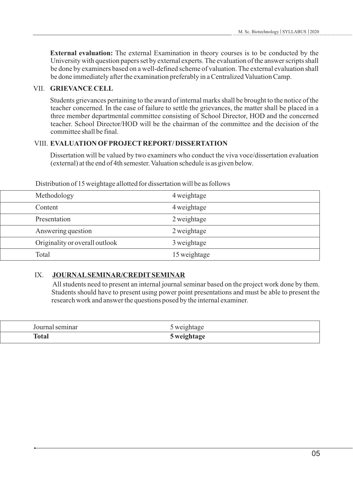**External evaluation:** The external Examination in theory courses is to be conducted by the University with question papers set by external experts. The evaluation of the answer scripts shall be done by examiners based on a well-defined scheme of valuation. The external evaluation shall be done immediately after the examination preferably in a Centralized Valuation Camp.

# VII. **GRIEVANCE CELL**

Students grievances pertaining to the award of internal marks shall be brought to the notice of the teacher concerned. In the case of failure to settle the grievances, the matter shall be placed in a three member departmental committee consisting of School Director, HOD and the concerned teacher. School Director/HOD will be the chairman of the committee and the decision of the committee shall be final.

# VIII. **EVALUATION OFPROJECTREPORT/ DISSERTATION**

Dissertation will be valued by two examiners who conduct the viva voce/dissertation evaluation (external) at the end of 4th semester. Valuation schedule is as given below.

| Methodology                    | 4 weightage  |
|--------------------------------|--------------|
| Content                        | 4 weightage  |
| Presentation                   | 2 weightage  |
| Answering question             | 2 weightage  |
| Originality or overall outlook | 3 weightage  |
| Total                          | 15 weightage |

Distribution of 15 weightage allotted for dissertation will be as follows

# IX. **JOURNALSEMINAR/CREDITSEMINAR**

All students need to present an internal journal seminar based on the project work done by them. Students should have to present using power point presentations and must be able to present the research work and answer the questions posed by the internal examiner.

| Journal seminar | 5 weightage |  |
|-----------------|-------------|--|
| <b>Total</b>    | 5 weightage |  |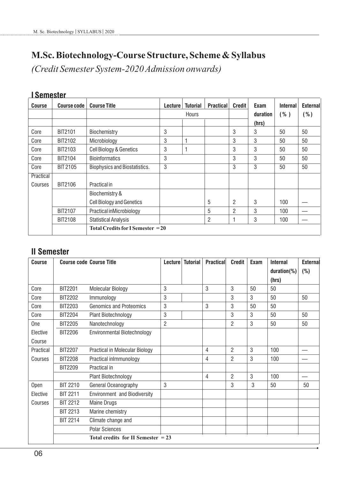# **M.Sc. Biotechnology-Course Structure, Scheme & Syllabus**

*(Credit Semester System-2020 Admission onwards)*

| <b>Course</b> | <b>Course code</b> | <b>Course Title</b>                                   | Lecture | <b>Tutorial</b> | <b>Practical</b> | <b>Credit</b>  | Exam     | <b>Internal</b> | <b>External</b> |
|---------------|--------------------|-------------------------------------------------------|---------|-----------------|------------------|----------------|----------|-----------------|-----------------|
|               |                    |                                                       |         | <b>Hours</b>    |                  |                | duration | ( %)            | ( %)            |
|               |                    |                                                       |         |                 |                  |                | (hrs)    |                 |                 |
| Core          | BIT2101            | Biochemistry                                          | 3       |                 |                  | 3              | 3        | 50              | 50              |
| Core          | BIT2102            | Microbiology                                          | 3       |                 |                  | 3              | 3        | 50              | 50              |
| Core          | BIT2103            | Cell Biology & Genetics                               | 3       |                 |                  | 3              | 3        | 50              | 50              |
| Core          | BIT2104            | <b>Bioinformatics</b>                                 | 3       |                 |                  | 3              | 3        | 50              | 50              |
| Core          | <b>BIT 2105</b>    | Biophysics and Biostatistics.                         | 3       |                 |                  | 3              | 3        | 50              | 50              |
| Practical     |                    |                                                       |         |                 |                  |                |          |                 |                 |
| Courses       | BIT2106            | Practical in                                          |         |                 |                  |                |          |                 |                 |
|               |                    | Biochemistry &                                        |         |                 |                  |                |          |                 |                 |
|               |                    | <b>Cell Biology and Genetics</b>                      |         |                 | 5                | 2              | 3        | 100             |                 |
|               | BIT2107            | Practical inMicrobiology                              |         |                 | 5                | $\overline{2}$ | 3        | 100             |                 |
|               | BIT2108            | <b>Statistical Analysis</b>                           |         |                 | 2                |                | 3        | 100             |                 |
|               |                    | <b>Total Credits for I Semester <math>= 20</math></b> |         |                 |                  |                |          |                 |                 |

# **I Semester**

# **II Semester**

| <b>Course</b> |                 | <b>Course code Course Title</b>      | <b>Lecture</b> | <b>Tutorial</b> | <b>Practical</b> | <b>Credit</b>  | Exam | <b>Internal</b> | External |
|---------------|-----------------|--------------------------------------|----------------|-----------------|------------------|----------------|------|-----------------|----------|
|               |                 |                                      |                |                 |                  |                |      | $duration$ %)   | (%)      |
|               |                 |                                      |                |                 |                  |                |      | (hrs)           |          |
| Core          | <b>BIT2201</b>  | <b>Molecular Biology</b>             | 3              |                 | 3                | 3              | 50   | 50              |          |
| Core          | BIT2202         | Immunology                           | 3              |                 |                  | 3              | 3    | 50              | 50       |
| Core          | <b>BIT2203</b>  | Genomics and Proteomics              | 3              |                 | 3                | 3              | 50   | 50              |          |
| Core          | <b>BIT2204</b>  | Plant Biotechnology                  | 3              |                 |                  | 3              | 3    | 50              | 50       |
| <b>One</b>    | <b>BIT2205</b>  | Nanotechnology                       | $\overline{2}$ |                 |                  | 2              | 3    | 50              | 50       |
| Elective      | <b>BIT2206</b>  | Environmental Biotechnology          |                |                 |                  |                |      |                 |          |
| Course        |                 |                                      |                |                 |                  |                |      |                 |          |
| Practical     | <b>BIT2207</b>  | Practical in Molecular Biology       |                |                 | 4                | $\overline{c}$ | 3    | 100             |          |
| Courses       | <b>BIT2208</b>  | Practical inlmmunology               |                |                 | 4                | $\overline{c}$ | 3    | 100             |          |
|               | <b>BIT2209</b>  | Practical in                         |                |                 |                  |                |      |                 |          |
|               |                 | Plant Biotechnology                  |                |                 | 4                | $\overline{c}$ | 3    | 100             |          |
| Open          | <b>BIT 2210</b> | General Oceanography                 | 3              |                 |                  | 3              | 3    | 50              | 50       |
| Elective      | <b>BIT 2211</b> | Environment and Biodiversity         |                |                 |                  |                |      |                 |          |
| Courses       | <b>BIT 2212</b> | <b>Maine Drugs</b>                   |                |                 |                  |                |      |                 |          |
|               | <b>BIT 2213</b> | Marine chemistry                     |                |                 |                  |                |      |                 |          |
|               | <b>BIT 2214</b> | Climate change and                   |                |                 |                  |                |      |                 |          |
|               |                 | <b>Polar Sciences</b>                |                |                 |                  |                |      |                 |          |
|               |                 | Total credits for II Semester $= 23$ |                |                 |                  |                |      |                 |          |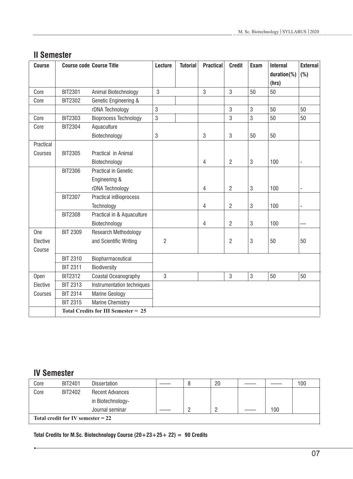# **II Semester**

| <b>Course</b> |                 | <b>Course code Course Title</b>            | <b>Lecture</b> | <b>Tutorial</b> | <b>Practical</b> | <b>Credit</b>  | Exam | <b>Internal</b> | <b>External</b>          |
|---------------|-----------------|--------------------------------------------|----------------|-----------------|------------------|----------------|------|-----------------|--------------------------|
|               |                 |                                            |                |                 |                  |                |      | $duration$ %)   | (%)                      |
|               |                 |                                            |                |                 |                  |                |      | (hrs)           |                          |
| Core          | <b>BIT2301</b>  | Animal Biotechnology                       | 3              |                 | 3                | 3              | 50   | 50              |                          |
| Core          | <b>BIT2302</b>  | Genetic Engineering &                      |                |                 |                  |                |      |                 |                          |
|               |                 | rDNA Technology                            | 3              |                 |                  | 3              | 3    | 50              | 50                       |
| Core          | <b>BIT2303</b>  | <b>Bioprocess Technology</b>               | $\mathbf{3}$   |                 |                  | 3              | 3    | 50              | 50                       |
| Core          | <b>BIT2304</b>  | Aquaculture                                |                |                 |                  |                |      |                 |                          |
|               |                 | Biotechnology                              | $\sqrt{3}$     |                 | 3                | 3              | 50   | 50              |                          |
| Practical     |                 |                                            |                |                 |                  |                |      |                 |                          |
| Courses       | <b>BIT2305</b>  | Practical in Animal                        |                |                 |                  |                |      |                 |                          |
|               |                 | Biotechnology                              |                |                 | $\overline{4}$   | $\overline{2}$ | 3    | 100             |                          |
|               | <b>BIT2306</b>  | Practical in Genetic                       |                |                 |                  |                |      |                 |                          |
|               |                 | Engineering &                              |                |                 |                  |                |      |                 |                          |
|               |                 | rDNA Technology                            |                |                 | $\overline{4}$   | $\overline{2}$ | 3    | 100             | $\overline{\phantom{a}}$ |
|               | <b>BIT2307</b>  | Practical inBioprocess                     |                |                 |                  |                |      |                 |                          |
|               |                 | Technology                                 |                |                 | 4                | $\overline{2}$ | 3    | 100             |                          |
|               | <b>BIT2308</b>  | Practical in & Aquaculture                 |                |                 |                  |                |      |                 |                          |
|               |                 | Biotechnology                              |                |                 | $\overline{4}$   | $\overline{2}$ | 3    | 100             |                          |
| One           | <b>BIT 2309</b> | Research Methodology                       |                |                 |                  |                |      |                 |                          |
| Elective      |                 | and Scientific Writing                     | $\overline{2}$ |                 |                  | $\overline{2}$ | 3    | 50              | 50                       |
| Course        |                 |                                            |                |                 |                  |                |      |                 |                          |
|               | <b>BIT 2310</b> | Biopharmaceutical                          |                |                 |                  |                |      |                 |                          |
|               | <b>BIT 2311</b> | Biodiversity                               |                |                 |                  |                |      |                 |                          |
| Open          | <b>BIT2312</b>  | Coastal Oceanography                       | 3              |                 |                  | 3              | 3    | 50              | 50                       |
| Elective      | <b>BIT 2313</b> | Instrumentation techniques                 |                |                 |                  |                |      |                 |                          |
| Courses       | <b>BIT 2314</b> | <b>Marine Geology</b>                      |                |                 |                  |                |      |                 |                          |
|               | <b>BIT 2315</b> | Marine Chemistry                           |                |                 |                  |                |      |                 |                          |
|               |                 | <b>Total Credits for III Semester = 25</b> |                |                 |                  |                |      |                 |                          |

# **IV Semester**

| Core                                | BIT2401 | <b>Dissertation</b>    |  |  | 20 |  |     | 100 |
|-------------------------------------|---------|------------------------|--|--|----|--|-----|-----|
| Core                                | BIT2402 | <b>Recent Advances</b> |  |  |    |  |     |     |
|                                     |         | in Biotechnology-      |  |  |    |  |     |     |
|                                     |         | Journal seminar        |  |  |    |  | 100 |     |
| Total credit for IV semester $= 22$ |         |                        |  |  |    |  |     |     |

**Total Credits for M.Sc. Biotechnology Course (20+23+25+ 22) = 90 Credits**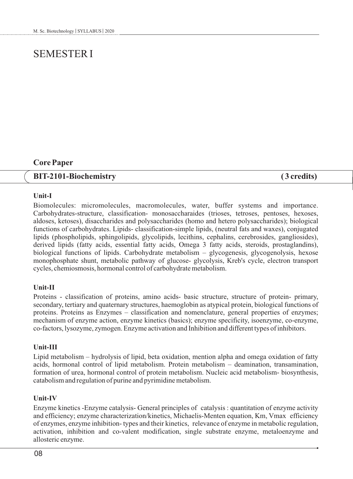# SEMESTER I

# **Core Paper**

# **BIT-2101-Biochemistry ( 3 credits)**

## **Unit-I**

Biomolecules: micromolecules, macromolecules, water, buffer systems and importance. Carbohydrates-structure, classification- monosaccharaides (trioses, tetroses, pentoses, hexoses, aldoses, ketoses), disaccharides and polysaccharides (homo and hetero polysaccharides); biological functions of carbohydrates. Lipids- classification-simple lipids, (neutral fats and waxes), conjugated lipids (phospholipids, sphingolipids, glycolipids, lecithins, cephalins, cerebrosides, gangliosides), derived lipids (fatty acids, essential fatty acids, Omega 3 fatty acids, steroids, prostaglandins), biological functions of lipids. Carbohydrate metabolism – glycogenesis, glycogenolysis, hexose monophosphate shunt, metabolic pathway of glucose- glycolysis, Kreb's cycle, electron transport cycles, chemiosmosis, hormonal control of carbohydrate metabolism.

## **Unit-II**

Proteins - classification of proteins, amino acids- basic structure, structure of protein- primary, secondary, tertiary and quaternary structures, haemoglobin as atypical protein, biological functions of proteins. Proteins as Enzymes – classification and nomenclature, general properties of enzymes; mechanism of enzyme action, enzyme kinetics (basics); enzyme specificity, isoenzyme, co-enzyme, co-factors, lysozyme, zymogen. Enzyme activation and Inhibition and different types of inhibitors.

## **Unit-III**

Lipid metabolism – hydrolysis of lipid, beta oxidation, mention alpha and omega oxidation of fatty acids, hormonal control of lipid metabolism. Protein metabolism – deamination, transamination, formation of urea, hormonal control of protein metabolism. Nucleic acid metabolism- biosynthesis, catabolism and regulation of purine and pyrimidine metabolism.

## **Unit-IV**

Enzyme kinetics -Enzyme catalysis- General principles of catalysis : quantitation of enzyme activity and efficiency; enzyme characterization/kinetics, Michaelis-Menten equation, Km, Vmax efficiency of enzymes, enzyme inhibition- types and their kinetics, relevance of enzyme in metabolic regulation, activation, inhibition and co-valent modification, single substrate enzyme, metaloenzyme and allosteric enzyme.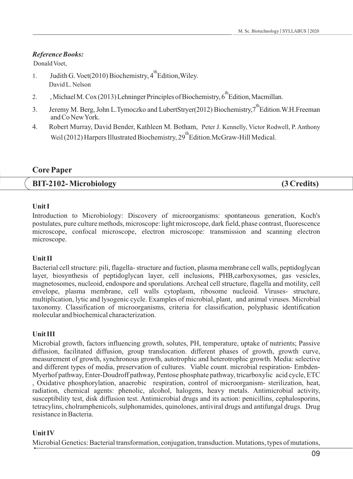# *Reference Books:*

Donald Voet,

- 1. Judith G. Voet(2010) Biochemistry,  $4^{\text{th}}$  Edition, Wiley. David L. Nelson
- 2. , Michael M. Cox (2013) Lehninger Principles of Biochemistry, 6<sup>th</sup> Edition, Macmillan.
- 3. Jeremy M. Berg, John L.Tymoczko and LubertStryer(2012) Biochemistry,7<sup>th</sup>Edition.W.H.Freeman andCoNewYork.
- 4. Robert Murray, David Bender, Kathleen M. Botham, Peter J. Kennelly, Victor Rodwell, P. Anthony Weil (2012) Harpers Illustrated Biochemistry, 29<sup>th</sup> Edition.McGraw-Hill Medical.

# **Core Paper**

|  | <b>BIT-2102-Microbiology</b> | (3 Credits) |
|--|------------------------------|-------------|
|--|------------------------------|-------------|

# **Unit I**

Introduction to Microbiology: Discovery of microorganisms: spontaneous generation, Koch's postulates, pure culture methods, microscope: light microscope, dark field, phase contrast, fluorescence microscope, confocal microscope, electron microscope: transmission and scanning electron microscope.

# **Unit II**

Bacterial cell structure: pili, flagella- structure and fuction, plasma membrane cell walls, peptidoglycan layer, biosynthesis of peptidoglycan layer, cell inclusions, PHB,carboxysomes, gas vesicles, magnetosomes, nucleoid, endospore and sporulations. Archeal cell structure, flagella and motility, cell envelope, plasma membrane, cell walls cytoplasm, ribosome nucleoid. Viruses- structure, multiplication, lytic and lysogenic cycle. Examples of microbial, plant, and animal viruses. Microbial taxonomy. Classification of microorganisms, criteria for classification, polyphasic identification molecular and biochemical characterization.

# **Unit III**

Microbial growth, factors influencing growth, solutes, PH, temperature, uptake of nutrients; Passive diffusion, facilitated diffusion, group translocation. different phases of growth, growth curve, measurement of growth, synchronous growth, autotrophic and heterotrophic growth. Media: selective and different types of media, preservation of cultures. Viable count. microbial respiration- Embden-Myerhof pathway, Enter-Doudroff pathway, Pentose phosphate pathway, tricarboxylic acid cycle, ETC , Oxidative phosphorylation, anaerobic respiration, control of microorganism- sterilization, heat, radiation, chemical agents: phenolic, alcohol, halogens, heavy metals. Antimicrobial activity, susceptibility test, disk diffusion test. Antimicrobial drugs and its action: penicillins, cephalosporins, tetracylins, cholramphenicols, sulphonamides, quinolones, antiviral drugs and antifungal drugs. Drug resistance in Bacteria.

# **Unit IV**

Microbial Genetics: Bacterial transformation, conjugation, transduction. Mutations, types of mutations,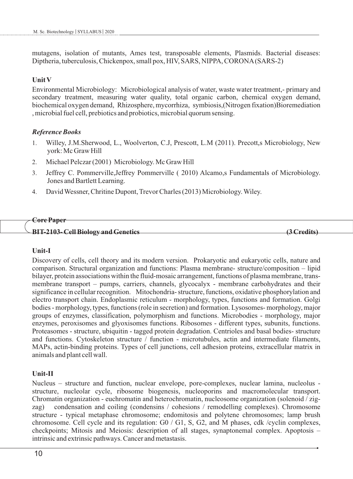mutagens, isolation of mutants, Ames test, transposable elements, Plasmids. Bacterial diseases: Diptheria, tuberculosis, Chickenpox, small pox, HIV, SARS, NIPPA, CORONA(SARS-2)

## **Unit V**

Environmental Microbiology: Microbiological analysis of water, waste water treatment,- primary and secondary treatment, measuring water quality, total organic carbon, chemical oxygen demand, biochemical oxygen demand, Rhizosphere, mycorrhiza, symbiosis,(Nitrogen fixation)Bioremediation , microbial fuel cell, prebiotics and probiotics, microbial quorum sensing.

## *Reference Books*

- 1. Willey, J.M.Sherwood, L., Woolverton, C.J, Prescott, L.M (2011). Precott,s Microbiology, New york: Mc Graw Hill
- 2. Michael Pelczar (2001) Microbiology. Mc Graw Hill
- 3. Jeffrey C. Pommerville,Jeffrey Pommerville ( 2010) Alcamo,s Fundamentals of Microbiology. Jones and Bartlett Learning.
- 4. David Wessner, Chritine Dupont, Trevor Charles (2013) Microbiology. Wiley.

#### **Core Paper**

**BIT-2103- Cell Biology and Genetics (3 Credits)**

## **Unit-I**

Discovery of cells, cell theory and its modern version. Prokaryotic and eukaryotic cells, nature and comparison. Structural organization and functions: Plasma membrane- structure/composition – lipid bilayer, protein associations within the fluid-mosaic arrangement, functions of plasma membrane, transmembrane transport – pumps, carriers, channels, glycocalyx - membrane carbohydrates and their significance in cellular recognition. Mitochondria- structure, functions, oxidative phosphorylation and electro transport chain. Endoplasmic reticulum - morphology, types, functions and formation. Golgi bodies - morphology, types, functions (role in secretion) and formation. Lysosomes- morphology, major groups of enzymes, classification, polymorphism and functions. Microbodies - morphology, major enzymes, peroxisomes and glyoxisomes functions. Ribosomes - different types, subunits, functions. Proteasomes - structure, ubiquitin - tagged protein degradation. Centrioles and basal bodies- structure and functions. Cytoskeleton structure / function - microtubules, actin and intermediate filaments, MAPs, actin-binding proteins. Types of cell junctions, cell adhesion proteins, extracellular matrix in animals and plant cell wall.

## **Unit-II**

Nucleus – structure and function, nuclear envelope, pore-complexes, nuclear lamina, nucleolus structure, nucleolar cycle, ribosome biogenesis, nucleoporins and macromolecular transport. Chromatin organization - euchromatin and heterochromatin, nucleosome organization (solenoid / zigzag) condensation and coiling (condensins / cohesions / remodelling complexes). Chromosome structure - typical metaphase chromosome; endomitosis and polytene chromosomes; lamp brush chromosome. Cell cycle and its regulation: G0 / G1, S, G2, and M phases, cdk /cyclin complexes, checkpoints; Mitosis and Meiosis: description of all stages, synaptonemal complex. Apoptosis – intrinsic and extrinsic pathways. Cancer and metastasis.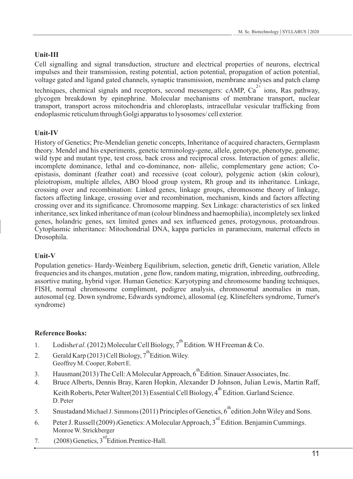# **Unit-III**

Cell signalling and signal transduction, structure and electrical properties of neurons, electrical impulses and their transmission, resting potential, action potential, propagation of action potential, voltage gated and ligand gated channels, synaptic transmission, membrane analyses and patch clamp

techniques, chemical signals and receptors, second messengers: cAMP,  $Ca<sup>2+</sup>$  ions, Ras pathway, glycogen breakdown by epinephrine. Molecular mechanisms of membrane transport, nuclear transport, transport across mitochondria and chloroplasts, intracellular vesicular trafficking from endoplasmic reticulum through Golgi apparatus to lysosomes/ cell exterior.

# **Unit-IV**

History of Genetics; Pre-Mendelian genetic concepts, Inheritance of acquired characters, Germplasm theory. Mendel and his experiments, genetic terminology-gene, allele, genotype, phenotype, genome; wild type and mutant type, test cross, back cross and reciprocal cross. Interaction of genes: allelic, incomplete dominance, lethal and co-dominance, non- allelic, complementary gene action; Coepistasis, dominant (feather coat) and recessive (coat colour), polygenic action (skin colour), pleiotropism, multiple alleles, ABO blood group system, Rh group and its inheritance. Linkage, crossing over and recombination: Linked genes, linkage groups, chromosome theory of linkage, factors affecting linkage, crossing over and recombination, mechanism, kinds and factors affecting crossing over and its significance. Chromosome mapping. Sex Linkage: characteristics of sex linked inheritance, sex linked inheritance of man (colour blindness and haemophilia), incompletely sex linked genes, holandric genes, sex limited genes and sex influenced genes, protogynous, protoandrous. Cytoplasmic inheritance: Mitochondrial DNA, kappa particles in paramecium, maternal effects in Drosophila.

# **Unit-V**

Population genetics- Hardy-Weinberg Equilibrium, selection, genetic drift, Genetic variation, Allele frequencies and its changes, mutation , gene flow, random mating, migration, inbreeding, outbreeding, assortive mating, hybrid vigor. Human Genetics: Karyotyping and chromosome banding techniques, FISH, normal chromosome compliment, pedigree analysis, chromosomal anomalies in man, autosomal (eg. Down syndrome, Edwards syndrome), allosomal (eg. Klinefelters syndrome, Turner's syndrome)

- 1. Lodishet al. (2012) Molecular Cell Biology,  $7^{th}$  Edition. WH Freeman & Co.
- 2. Gerald Karp (2013) Cell Biology,  $7^{th}$  Edition. Wiley. Geoffrey M. Cooper, Robert E.
- 3. Hausman(2013) The Cell: A Molecular Approach, 6<sup>th</sup> Edition. Sinauer Associates, Inc.
- 4. Bruce Alberts, Dennis Bray, Karen Hopkin, Alexander D Johnson, Julian Lewis, Martin Raff, Keith Roberts, Peter Walter(2013) Essential Cell Biology,  $4^{\text{th}}$  Edition. Garland Science. D. Peter
- 5. Snustadand Michael J. Simmons (2011) Principles of Genetics,  $6^{th}$ edition.John Wiley and Sons.
- 6. Peter J. Russell (2009) *i*Genetics: A Molecular Approach, 3<sup>rd</sup> Edition. Benjamin Cummings. Monroe W. Strickberger
- 7.  $(2008)$  Genetics,  $3^{\text{rd}}$  Edition. Prentice-Hall.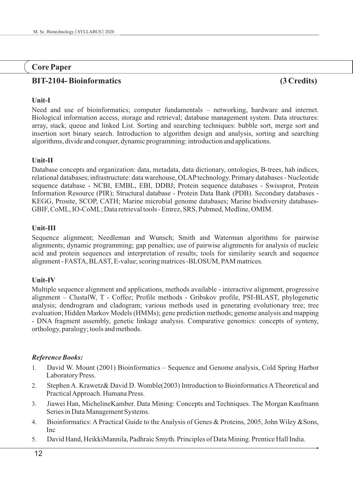# **Core Paper**

# **BIT-2104- Bioinformatics (3 Credits)**

# **Unit-I**

Need and use of bioinformatics; computer fundamentals – networking, hardware and internet. Biological information access, storage and retrieval; database management system. Data structures: array, stack, queue and linked List. Sorting and searching techniques: bubble sort, merge sort and insertion sort binary search. Introduction to algorithm design and analysis, sorting and searching algorithms, divide and conquer, dynamic programming: introduction and applications.

# **Unit-II**

Database concepts and organization: data, metadata, data dictionary, ontologies, B-trees, hah indices, relational databases; infrastructure: data warehouse, OLAPtechnology. Primary databases - Nucleotide sequence database - NCBI, EMBL, EBI, DDBJ; Protein sequence databases - Swissprot, Protein Information Resource (PIR); Structural database - Protein Data Bank (PDB). Secondary databases - KEGG, Prosite, SCOP, CATH; Marine microbial genome databases; Marine biodiversity databases-GBIF, CoML, IO-CoML; Data retrieval tools - Entrez, SRS, Pubmed, Medline, OMIM.

# **Unit-III**

Sequence alignment; Needleman and Wunsch; Smith and Waterman algorithms for pairwise alignments; dynamic programming; gap penalties; use of pairwise alignments for analysis of nucleic acid and protein sequences and interpretation of results; tools for similarity search and sequence alignment - FASTA, BLAST, E-value; scoring matrices -BLOSUM, PAM matrices.

# **Unit-IV**

Multiple sequence alignment and applications, methods available - interactive alignment, progressive alignment – ClustalW, T - Coffee; Profile methods - Gribskov profile, PSI-BLAST, phylogenetic analysis; dendrogram and cladogram; various methods used in generating evolutionary tree; tree evaluation; Hidden Markov Models (HMMs); gene prediction methods; genome analysis and mapping - DNA fragment assembly, genetic linkage analysis. Comparative genomics: concepts of synteny, orthology, paralogy; tools and methods.

- 1. David W. Mount (2001) Bioinformatics Sequence and Genome analysis, Cold Spring Harbor Laboratory Press.
- 2. Stephen A. Krawetz& David D. Womble(2003) Introduction to Bioinformatics ATheoretical and Practical Approach. Humana Press.
- 3. Jiawei Han, MichelineKamber. Data Mining: Concepts and Techniques. The Morgan Kaufmann Series in Data Management Systems.
- 4. Bioinformatics: A Practical Guide to the Analysis of Genes & Proteins, 2005, John Wiley &Sons, Inc
- 5. David Hand, HeikkiMannila, Padhraic Smyth. Principles of Data Mining. Prentice Hall India.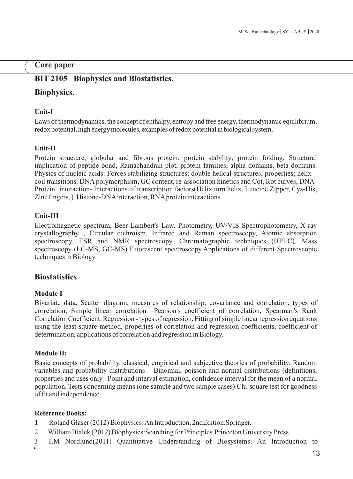# **Core paper**

# **BIT 2105 Biophysics and Biostatistics.**

# **Biophysics**.

# **Unit-I**

Laws ofthermodynamics, the concept of enthalpy, entropy and free energy, thermodynamic equilibrium, redox potential, high energy molecules, examples of redox potential in biological system.

# **Unit-II**

Protein structure, globular and fibrous protein; protein stability; protein folding. Structural implication of peptide bond, Ramachandran plot, protein families, alpha domains, beta domains. Physics of nucleic acids: Forces stabilizing structures; double helical structures; properties; helix – coil transitions. DNA polymorphism, GC content, re-association kinetics and Cot, Rot curves, DNA-Protein interaction- Interactions of transcription factors(Helix turn helix, Leucine Zipper, Cys-His, Zinc fingers, ). Histone-DNAinteraction, RNAprotein interactions.

# **Unit-III**

Electromagnetic spectrum, Beer Lambert's Law. Photometry, UV/VIS Spectrophotometry, X-ray crystallography , Circular dichroism, Infrared and Raman spectroscopy, Atomic absorption spectroscopy, ESR and NMR spectroscopy. Chromatographic techniques (HPLC), Mass spectroscopy (LC-MS, GC-MS).Fluorescent spectroscopy.Applications of different Spectroscopic techniques in Biology.

# **Biostatistics**

# **Module I**

Bivariate data, Scatter diagram, measures of relationship, covariance and correlation, types of correlation, Simple linear correlation –Pearson's coefficient of correlation, Spearman's Rank Correlation Coefficient. Regression - types of regression, Fitting of simple linear regression equations using the least square method, properties of correlation and regression coefficients, coefficient of determination, applications of correlation and regression in Biology.

# **Module II:**

Basic concepts of probability, classical, empirical and subjective theories of probability. Random variables and probability distributions – Binomial, poisson and normal distributions (definitions, properties and uses only. Point and interval estimation, confidence interval for the mean of a normal population. Tests concerning means (one sample and two sample cases).Chi-square test for goodness of fit and independence.

- **1**. Roland Glaser (2012) Biophysics: An Introduction, 2ndEdition.Springer.
- 2. William Bialek (2012) Biophysics:Searching for Principles.Princeton University Press.
- 3. T.M Nordlund(2011) Quantitative Understanding of Biosystems: An Introduction to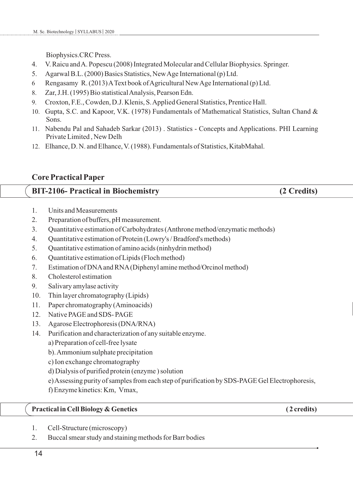Biophysics.CRC Press.

- 4. V. Raicu and A. Popescu (2008) Integrated Molecular and Cellular Biophysics. Springer.
- 5. Agarwal B.L. (2000) Basics Statistics, New Age International (p) Ltd.
- 6 Rengasamy R. (2013) AText book of Agricultural New Age International (p) Ltd.
- 8. Zar, J.H. (1995) Bio statistical Analysis, Pearson Edn.
- 9. Croxton, F.E., Cowden, D.J. Klenis, S. Applied General Statistics, Prentice Hall.
- 10. Gupta, S.C. and Kapoor, V.K. (1978) Fundamentals of Mathematical Statistics, Sultan Chand & Sons.
- 11. Nabendu Pal and Sahadeb Sarkar (2013) . Statistics Concepts and Applications. PHI Learning Private Limited , New Delh
- 12. Elhance, D. N. and Elhance, V. (1988). Fundamentals of Statistics, KitabMahal.

# **Core Practical Paper**

# **BIT-2106- Practical in Biochemistry (2 Credits)**

- 1. Units and Measurements
- 2. Preparation of buffers, pH measurement.
- 3. Quantitative estimation of Carbohydrates (Anthrone method/enzymatic methods)
- 4. Quantitative estimation of Protein (Lowry's / Bradford's methods)
- 5. Quantitative estimation of amino acids (ninhydrin method)
- 6. Quantitative estimation of Lipids (Floch method)
- 7. Estimation of DNAand RNA(Diphenyl amine method/Orcinol method)
- 8. Cholesterol estimation
- 9. Salivary amylase activity
- 10. Thin layer chromatography (Lipids)
- 11. Paper chromatography (Aminoacids)
- 12. Native PAGE and SDS- PAGE
- 13. Agarose Electrophoresis (DNA/RNA)
- 14. Purification and characterization of any suitable enzyme.
	- a) Preparation of cell-free lysate
	- b). Ammonium sulphate precipitation
	- c) Ion exchange chromatography
	- d) Dialysis of purified protein (enzyme ) solution
	- e) Assessing purity of samples from each step of purification by SDS-PAGE Gel Electrophoresis,
	- f) Enzyme kinetics: Km, Vmax,

# **Practical in Cell Biology & Genetics** (2 credits)

- 1. Cell-Structure (microscopy)
- 2. Buccal smear study and staining methods for Barr bodies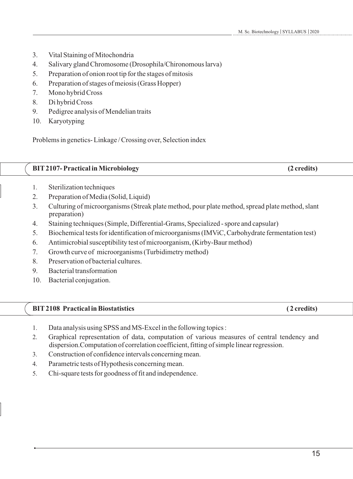- 3. Vital Staining of Mitochondria
- 4. Salivary gland Chromosome (Drosophila/Chironomous larva)
- 5. Preparation of onion root tip for the stages of mitosis
- 6. Preparation of stages of meiosis (Grass Hopper)
- 7. Mono hybrid Cross
- 8. Di hybrid Cross
- 9. Pedigree analysis of Mendelian traits
- 10. Karyotyping

Problems in genetics- Linkage / Crossing over, Selection index

# **BIT2107- Practical in Microbiology (2 credits)**

- 1. Sterilization techniques
- 2. Preparation of Media (Solid, Liquid)
- 3. Culturing of microorganisms (Streak plate method, pour plate method, spread plate method, slant preparation)
- 4. Staining techniques (Simple, Differential-Grams, Specialized spore and capsular)
- 5. Biochemical tests for identification of microorganisms (IMViC, Carbohydrate fermentation test)
- 6. Antimicrobial susceptibility test of microorganism, (Kirby-Baur method)
- 7. Growth curve of microorganisms (Turbidimetry method)
- 8. Preservation of bacterial cultures.
- 9. Bacterial transformation
- 10. Bacterial conjugation.

# **BIT 2108 Practical in Biostatistics** (2 credits)

- 1. Data analysis using SPSS and MS-Excel in the following topics :
- 2. Graphical representation of data, computation of various measures of central tendency and dispersion.Computation of correlation coefficient, fitting of simple linear regression.
- 3. Construction of confidence intervals concerning mean.
- 4. Parametric tests of Hypothesis concerning mean.
- 5. Chi-square tests for goodness of fit and independence.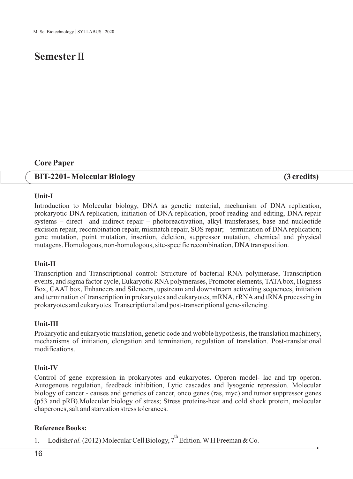# **Semester** II

# **Core Paper**

## **BIT-2201- MolecularBiology (3 credits)**

#### **Unit-I**

Introduction to Molecular biology, DNA as genetic material, mechanism of DNA replication, prokaryotic DNA replication, initiation of DNA replication, proof reading and editing, DNA repair systems – direct and indirect repair – photoreactivation, alkyl transferases, base and nucleotide excision repair, recombination repair, mismatch repair, SOS repair; termination of DNA replication; gene mutation, point mutation, insertion, deletion, suppressor mutation, chemical and physical mutagens. Homologous, non-homologous, site-specific recombination, DNAtransposition.

#### **Unit-II**

Transcription and Transcriptional control: Structure of bacterial RNA polymerase, Transcription events, and sigma factor cycle, Eukaryotic RNApolymerases, Promoter elements, TATAbox, Hogness Box, CAAT box, Enhancers and Silencers, upstream and downstream activating sequences, initiation and termination of transcription in prokaryotes and eukaryotes, mRNA, rRNA and tRNA processing in prokaryotes and eukaryotes. Transcriptional and post-transcriptional gene-silencing.

#### **Unit-III**

Prokaryotic and eukaryotic translation, genetic code and wobble hypothesis, the translation machinery, mechanisms of initiation, elongation and termination, regulation of translation. Post-translational modifications.

#### **Unit-IV**

Control of gene expression in prokaryotes and eukaryotes. Operon model- lac and trp operon. Autogenous regulation, feedback inhibition, Lytic cascades and lysogenic repression. Molecular biology of cancer - causes and genetics of cancer, onco genes (ras, myc) and tumor suppressor genes (p53 and pRB).Molecular biology of stress; Stress proteins-heat and cold shock protein, molecular chaperones, salt and starvation stress tolerances.

#### **Reference Books:**

1. Lodishet al. (2012) Molecular Cell Biology,  $7^{th}$  Edition. WH Freeman & Co.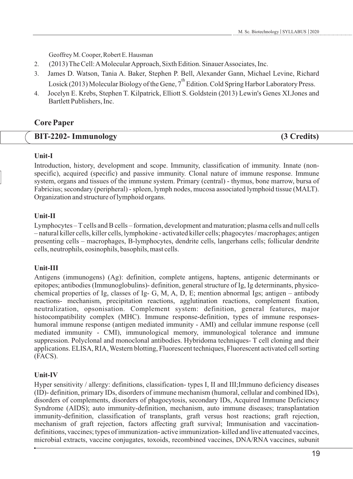Geoffrey M. Cooper, Robert E. Hausman

- 2. (2013) The Cell: AMolecular Approach, Sixth Edition. Sinauer Associates, Inc.
- 3. James D. Watson, Tania A. Baker, Stephen P. Bell, Alexander Gann, Michael Levine, Richard Losick (2013) Molecular Biology of the Gene,  $7^{th}$  Edition. Cold Spring Harbor Laboratory Press.
- 4. Jocelyn E. Krebs, Stephen T. Kilpatrick, Elliott S. Goldstein (2013) Lewin's Genes XI.Jones and Bartlett Publishers, Inc.

# **Core Paper**

| <b>BIT-2202- Immunology</b> | (3 Credits) |
|-----------------------------|-------------|
|-----------------------------|-------------|

# **Unit-I**

Introduction, history, development and scope. Immunity, classification of immunity. Innate (nonspecific), acquired (specific) and passive immunity. Clonal nature of immune response. Immune system, organs and tissues of the immune system. Primary (central) - thymus, bone marrow, bursa of Fabricius; secondary (peripheral) - spleen, lymph nodes, mucosa associated lymphoid tissue (MALT). Organization and structure of lymphoid organs.

# **Unit-II**

Lymphocytes – Tcells and B cells – formation, development and maturation; plasma cells and null cells – natural killer cells, killer cells, lymphokine - activated killer cells; phagocytes / macrophages; antigen presenting cells – macrophages, B-lymphocytes, dendrite cells, langerhans cells; follicular dendrite cells, neutrophils, eosinophils, basophils, mast cells.

# **Unit-III**

Antigens (immunogens) (Ag): definition, complete antigens, haptens, antigenic determinants or epitopes; antibodies (Immunoglobulins)- definition, general structure of Ig, Ig determinants, physicochemical properties of Ig, classes of Ig- G, M, A, D, E; mention abnormal Igs; antigen – antibody reactions- mechanism, precipitation reactions, agglutination reactions, complement fixation, neutralization, opsonisation. Complement system: definition, general features, major histocompatibility complex (MHC). Immune response-definition, types of immune responseshumoral immune response (antigen mediated immunity - AMI) and cellular immune response (cell mediated immunity - CMI), immunological memory, immunological tolerance and immune suppression. Polyclonal and monoclonal antibodies. Hybridoma techniques- T cell cloning and their applications. ELISA, RIA, Western blotting, Fluorescent techniques, Fluorescent activated cell sorting (FACS).

# **Unit-IV**

Hyper sensitivity / allergy: definitions, classification- types I, II and III;Immuno deficiency diseases (ID)- definition, primary IDs, disorders of immune mechanism (humoral, cellular and combined IDs), disorders of complements, disorders of phagocytosis, secondary IDs, Acquired Immune Deficiency Syndrome (AIDS); auto immunity-definition, mechanism, auto immune diseases; transplantation immunity-definition, classification of transplants, graft versus host reactions; graft rejection, mechanism of graft rejection, factors affecting graft survival; Immunisation and vaccinationdefinitions, vaccines; types of immunization- active immunization- killed and live attenuated vaccines, microbial extracts, vaccine conjugates, toxoids, recombined vaccines, DNA/RNA vaccines, subunit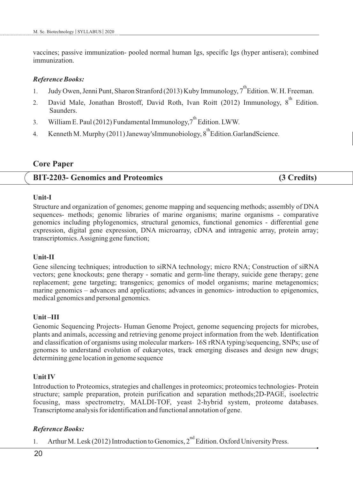vaccines; passive immunization- pooled normal human Igs, specific Igs (hyper antisera); combined immunization.

#### *Reference Books:*

- 1. Judy Owen, Jenni Punt, Sharon Stranford (2013) Kuby Immunology, 7<sup>th</sup> Edition. W. H. Freeman.
- 2. David Male, Jonathan Brostoff, David Roth, Ivan Roitt (2012) Immunology, 8<sup>th</sup> Edition. Saunders.
- 3. William E. Paul (2012) Fundamental Immunology, 7<sup>th</sup> Edition. LWW.
- 4. Kenneth M. Murphy (2011) Janeway'sImmunobiology,  $8^{th}$ Edition.GarlandScience.

# **Core Paper**

# **BIT-2203- Genomics and Proteomics (3 Credits)**

#### **Unit-I**

Structure and organization of genomes; genome mapping and sequencing methods; assembly of DNA sequences- methods; genomic libraries of marine organisms; marine organisms - comparative genomics including phylogenomics, structural genomics, functional genomics - differential gene expression, digital gene expression, DNA microarray, cDNA and intragenic array, protein array; transcriptomics. Assigning gene function;

## **Unit-II**

Gene silencing techniques; introduction to siRNA technology; micro RNA; Construction of siRNA vectors; gene knockouts; gene therapy - somatic and germ-line therapy, suicide gene therapy; gene replacement; gene targeting; transgenics; genomics of model organisms; marine metagenomics; marine genomics – advances and applications; advances in genomics- introduction to epigenomics, medical genomics and personal genomics.

## **Unit –III**

Genomic Sequencing Projects- Human Genome Project, genome sequencing projects for microbes, plants and animals, accessing and retrieving genome project information from the web. Identification and classification of organisms using molecular markers- 16S rRNA typing/sequencing, SNPs; use of genomes to understand evolution of eukaryotes, track emerging diseases and design new drugs; determining gene location in genome sequence

## **Unit IV**

Introduction to Proteomics, strategies and challenges in proteomics; proteomics technologies- Protein structure; sample preparation, protein purification and separation methods;2D-PAGE, isoelectric focusing, mass spectrometry, MALDI-TOF, yeast 2-hybrid system, proteome databases. Transcriptome analysis for identification and functional annotation of gene.

#### *Reference Books:*

1. Arthur M. Lesk (2012) Introduction to Genomics,  $2<sup>nd</sup>$  Edition. Oxford University Press.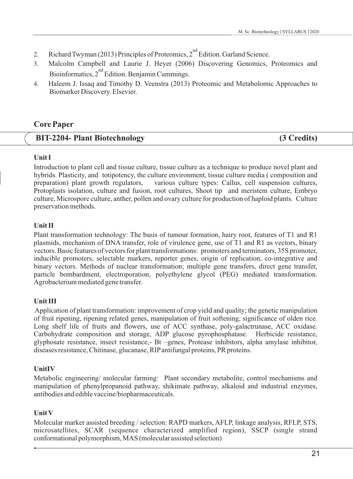- 2. Richard Twyman (2013) Principles of Proteomics,  $2^{nd}$  Edition. Garland Science.
- 3. Malcolm Campbell and Laurie J. Heyer (2006) Discovering Genomics, Proteomics and Bioinformatics, 2<sup>nd</sup> Edition. Benjamin Cummings.
- 4. Haleem J. Issaq and Timothy D. Veenstra (2013) Proteomic and Metabolomic Approaches to Biomarker Discovery. Elsevier.

# **Core Paper**

| <b>BIT-2204- Plant Biotechnology</b> | (3 Credits) |
|--------------------------------------|-------------|
|--------------------------------------|-------------|

# **Unit I**

Introduction to plant cell and tissue culture, tissue culture as a technique to produce novel plant and hybrids. Plasticity, and totipotency, the culture environment, tissue culture media ( composition and preparation) plant growth regulators, various culture types: Callus, cell suspension cultures, Protoplasts isolation, culture and fusion, root cultures, Shoot tip and meristem culture, Embryo culture, Microspore culture, anther, pollen and ovary culture for production of haploid plants. Culture preservation methods.

# **Unit II**

Plant transformation technology: The basis of tumour formation, hairy root, features of T1 and R1 plasmids, mechanism of DNA transfer, role of virulence gene, use of T1 and R1 as vectors, binary vectors. Basic features of vectors for plant transformations: promoters and terminators, 35S promoter, inducible promoters, selectable markers, reporter genes, origin of replication, co-integrative and binary vectors. Methods of nuclear transformation; multiple gene transfers, direct gene transfer, particle bombardment, electroporation, polyethylene glycol (PEG) mediated transformation. Agrobacterium mediated gene transfer.

# **Unit III**

Application of plant transformation: improvement of crop yield and quality; the genetic manipulation of fruit ripening, ripening related genes, manipulation of fruit softening, significance of olden rice. Long shelf life of fruits and flowers, use of ACC synthase, poly-galactrunase, ACC oxidase. Carbohydrate composition and storage, ADP glucose pyrophosphatase. Herbicide resistance, glyphosate resistance, insect resistance,- Bt –genes, Protease inhibitors, alpha amylase inhibitor, diseases resistance, Chitinase, glucanase, RIPantifungal proteins, PR proteins.

# **UnitIV**

Metabolic engineering/ molecular farming: Plant secondary metabolite, control mechanisms and manipulation of phenylpropanoid pathway, shikimate pathway, alkaloid and industrial enzymes, antibodies and edible vaccine/biopharmaceuticals.

# **Unit V**

Molecular marker assisted breeding / selection: RAPD markers, AFLP, linkage analysis, RFLP, STS, microsatellites, SCAR (sequence characterized amplified region), SSCP (single strand conformational polymorphism, MAS (molecular assisted selection)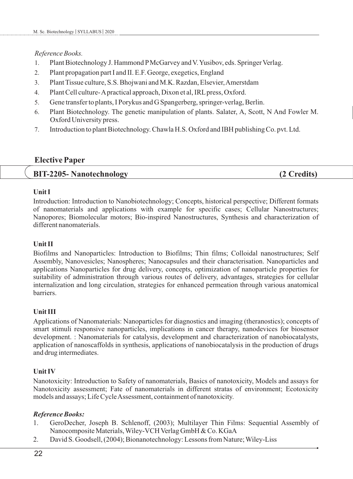#### *Reference Books.*

- 1. Plant Biotechnology J. Hammond PMcGarvey and V. Yusibov, eds. Springer Verlag.
- 2. Plant propagation part I and II. E.F. George, exegetics, England
- 3. Plant Tissue culture, S.S. Bhojwani and M.K. Razdan, Elsevier, Amerstdam
- 4. Plant Cell culture-Apractical approach, Dixon et al, IRL press, Oxford.
- 5. Gene transfer to plants, I Porykus and G Spangerberg, springer-verlag, Berlin.
- 6. Plant Biotechnology. The genetic manipulation of plants. Salater, A, Scott, N And Fowler M. Oxford University press.
- 7. Introduction to plant Biotechnology. Chawla H.S. Oxford and IBH publishing Co. pvt. Ltd.

# **Elective Paper**

# **BIT-2205- Nanotechnology (2 Credits)**

## **Unit I**

Introduction: Introduction to Nanobiotechnology; Concepts, historical perspective; Different formats of nanomaterials and applications with example for specific cases; Cellular Nanostructures; Nanopores; Biomolecular motors; Bio-inspired Nanostructures, Synthesis and characterization of different nanomaterials.

## **Unit II**

Biofilms and Nanoparticles: Introduction to Biofilms; Thin films; Colloidal nanostructures; Self Assembly, Nanovesicles; Nanospheres; Nanocapsules and their characterisation. Nanoparticles and applications Nanoparticles for drug delivery, concepts, optimization of nanoparticle properties for suitability of administration through various routes of delivery, advantages, strategies for cellular internalization and long circulation, strategies for enhanced permeation through various anatomical barriers.

## **Unit III**

Applications of Nanomaterials: Nanoparticles for diagnostics and imaging (theranostics); concepts of smart stimuli responsive nanoparticles, implications in cancer therapy, nanodevices for biosensor development. : Nanomaterials for catalysis, development and characterization of nanobiocatalysts, application of nanoscaffolds in synthesis, applications of nanobiocatalysis in the production of drugs and drug intermediates.

# **Unit IV**

Nanotoxicity: Introduction to Safety of nanomaterials, Basics of nanotoxicity, Models and assays for Nanotoxicity assessment; Fate of nanomaterials in different stratas of environment; Ecotoxicity models and assays; Life Cycle Assessment, containment of nanotoxicity.

- 1. GeroDecher, Joseph B. Schlenoff, (2003); Multilayer Thin Films: Sequential Assembly of Nanocomposite Materials, Wiley-VCH Verlag GmbH & Co. KGaA
- 2. David S. Goodsell, (2004); Bionanotechnology: Lessons from Nature; Wiley-Liss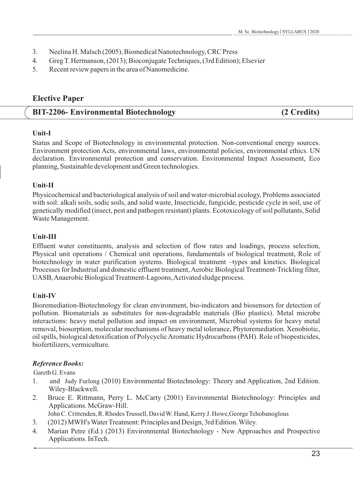- 3. Neelina H. Malsch (2005), Biomedical Nanotechnology, CRC Press
- 4. Greg T. Hermanson, (2013); Bioconjugate Techniques, (3rd Edition); Elsevier
- 5. Recent review papers in the area of Nanomedicine.

# **Elective Paper**

# **BIT-2206- Environmental Biotechnology (2 Credits)**

# **Unit-I**

Status and Scope of Biotechnology in environmental protection. Non-conventional energy sources. Environment protection Acts, environmental laws, environmental policies, environmental ethics. UN declaration. Environmental protection and conservation. Environmental Impact Assessment, Eco planning, Sustainable development and Green technologies.

# **Unit-II**

Physicochemical and bacteriological analysis of soil and water-microbial ecology, Problems associated with soil: alkali soils, sodic soils, and solid waste, Insecticide, fungicide, pesticide cycle in soil, use of genetically modified (insect, pest and pathogen resistant) plants. Ecotoxicology of soil pollutants, Solid Waste Management.

# **Unit-III**

Effluent water constituents, analysis and selection of flow rates and loadings, process selection, Physical unit operations / Chemical unit operations, fundamentals of biological treatment, Role of biotechnology in water purification systems. Biological treatment –types and kinetics. Biological Processes for Industrial and domestic effluent treatment, Aerobic Biological Treatment-Trickling filter, UASB, Anaerobic Biological Treatment-Lagoons, Activated sludge process.

# **Unit-IV**

Bioremediation-Biotechnology for clean environment, bio-indicators and biosensors for detection of pollution. Biomaterials as substitutes for non-degradable materials (Bio plastics). Metal microbe interactions: heavy metal pollution and impact on environment, Microbial systems for heavy metal removal, biosorption, molecular mechanisms of heavy metal tolerance, Phytoremediation. Xenobiotic, oil spills, biological detoxification of Polycyclic Aromatic Hydrocarbons (PAH). Role of biopesticides, biofertilizers, vermiculture.

# *Reference Books:*

Gareth G. Evans

- 1. and Judy Furlong (2010) Environmental Biotechnology: Theory and Application, 2nd Edition. Wiley-Blackwell.
- 2. Bruce E. Rittmann, Perry L. McCarty (2001) Environmental Biotechnology: Principles and Applications. McGraw-Hill.

John C. Crittenden, R. Rhodes Trussell, David W. Hand, Kerry J. Howe,George Tchobanoglous

- 3. (2012) MWH's Water Treatment: Principles and Design, 3rd Edition. Wiley.
- 4. Marian Petre (Ed.) (2013) Environmental Biotechnology New Approaches and Prospective Applications. InTech.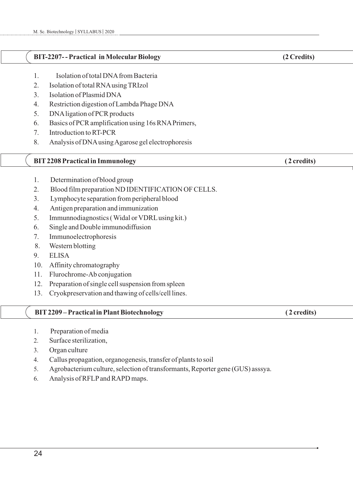#### **BIT-2207- - Practical in MolecularBiology (2 Credits)**

- 1. Isolation of total DNAfrom Bacteria
- 2. Isolation of total RNAusing TRIzol
- 3. Isolation of Plasmid DNA
- 4. Restriction digestion of Lambda Phage DNA
- 5. DNAligation of PCR products
- 6. Basics of PCR amplification using 16s RNAPrimers,
- 7. Introduction to RT-PCR
- 8. Analysis of DNAusing Agarose gel electrophoresis

## **BIT 2208 Practical in Immunology** (2 credits)

- 1. Determination of blood group
- 2. Blood film preparation ND IDENTIFICATION OF CELLS.
- 3. Lymphocyte separation from peripheral blood
- 4. Antigen preparation and immunization
- 5. Immunnodiagnostics ( Widal or VDRLusing kit.)
- 6. Single and Double immunodiffusion
- 7. Immunoelectrophoresis
- 8. Western blotting
- 9. ELISA
- 10. Affinity chromatography
- 11. Flurochrome-Ab conjugation
- 12. Preparation of single cell suspension from spleen
- 13. Cryokpreservation and thawing of cells/cell lines.

#### **BIT2209 – Practical in Plant Biotechnology ( 2 credits)**

- 1. Preparation of media
- 2. Surface sterilization,
- 3. Organ culture
- 4. Callus propagation, organogenesis, transfer of plants to soil
- 5. Agrobacterium culture, selection of transformants, Reporter gene (GUS) asssya.
- 6. Analysis of RFLPand RAPD maps.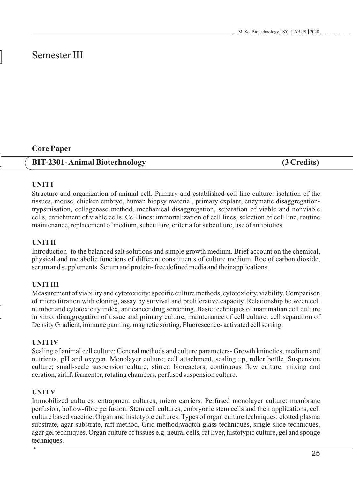# Semester III

# **Core Paper**

# **BIT-2301- Animal Biotechnology (3 Credits)**

# **UNITI**

Structure and organization of animal cell. Primary and established cell line culture: isolation of the tissues, mouse, chicken embryo, human biopsy material, primary explant, enzymatic disaggregationtrypsinisation, collagenase method, mechanical disaggregation, separation of viable and nonviable cells, enrichment of viable cells. Cell lines: immortalization of cell lines, selection of cell line, routine maintenance, replacement of medium, subculture, criteria for subculture, use of antibiotics.

# **UNITII**

Introduction to the balanced salt solutions and simple growth medium. Brief account on the chemical, physical and metabolic functions of different constituents of culture medium. Roe of carbon dioxide, serum and supplements. Serum and protein- free defined media and their applications.

# **UNITIII**

Measurement of viability and cytotoxicity: specific culture methods, cytotoxicity, viability. Comparison of micro titration with cloning, assay by survival and proliferative capacity. Relationship between cell number and cytotoxicity index, anticancer drug screening. Basic techniques of mammalian cell culture in vitro: disaggregation of tissue and primary culture, maintenance of cell culture: cell separation of Density Gradient, immune panning, magnetic sorting, Fluorescence- activated cell sorting.

# **UNITIV**

Scaling of animal cell culture: General methods and culture parameters- Growth kninetics, medium and nutrients, pH and oxygen. Monolayer culture; cell attachment, scaling up, roller bottle. Suspension culture; small-scale suspension culture, stirred bioreactors, continuous flow culture, mixing and aeration, airlift fermenter, rotating chambers, perfused suspension culture.

# **UNITV**

Immobilized cultures: entrapment cultures, micro carriers. Perfused monolayer culture: membrane perfusion, hollow-fibre perfusion. Stem cell cultures, embryonic stem cells and their applications, cell culture based vaccine. Organ and histotypic cultures: Types of organ culture techniques: clotted plasma substrate, agar substrate, raft method, Grid method,waqtch glass techniques, single slide techniques, agar gel techniques. Organ culture of tissues e.g. neural cells, rat liver, histotypic culture, gel and sponge techniques.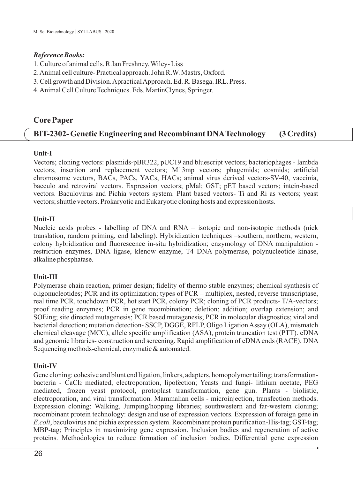#### *Reference Books:*

- 1. Culture of animal cells. R.Ian Freshney, Wiley- Liss
- 2. Animal cell culture- Practical approach. John R.W. Mastrs, Oxford.
- 3. Cell growth and Division. Apractical Approach. Ed. R. Basega. IRL. Press.
- 4. Animal Cell Culture Techniques. Eds. MartinClynes, Springer.

# **Core Paper**

# **BIT-2302- Genetic Engineering and Recombinant DNATechnology (3 Credits)**

# **Unit-I**

Vectors; cloning vectors: plasmids-pBR322, pUC19 and bluescript vectors; bacteriophages - lambda vectors, insertion and replacement vectors; M13mp vectors; phagemids; cosmids; artificial chromosome vectors, BACs, PACs, YACs, HACs; animal virus derived vectors-SV-40, vaccinia, bacculo and retroviral vectors. Expression vectors; pMal; GST; pET based vectors; intein-based vectors. Baculovirus and Pichia vectors system. Plant based vectors- Ti and Ri as vectors; yeast vectors; shuttle vectors. Prokaryotic and Eukaryotic cloning hosts and expression hosts.

# **Unit-II**

Nucleic acids probes - labelling of DNA and RNA – isotopic and non-isotopic methods (nick translation, random priming, end labeling). Hybridization techniques –southern, northern, western, colony hybridization and fluorescence in-situ hybridization; enzymology of DNA manipulation restriction enzymes, DNA ligase, klenow enzyme, T4 DNA polymerase, polynucleotide kinase, alkaline phosphatase.

## **Unit-III**

Polymerase chain reaction, primer design; fidelity of thermo stable enzymes; chemical synthesis of oligonucleotides; PCR and its optimization; types of PCR – multiplex, nested, reverse transcriptase, real time PCR, touchdown PCR, hot start PCR, colony PCR; cloning of PCR products- T/A-vectors; proof reading enzymes; PCR in gene recombination; deletion; addition; overlap extension; and SOEing; site directed mutagenesis; PCR based mutagenesis; PCR in molecular diagnostics; viral and bacterial detection; mutation detection- SSCP, DGGE, RFLP, Oligo Ligation Assay (OLA), mismatch chemical cleavage (MCC), allele specific amplification (ASA), protein truncation test (PTT). cDNA and genomic libraries- construction and screening. Rapid amplification of cDNA ends (RACE). DNA Sequencing methods-chemical, enzymatic & automated.

## **Unit-IV**

Gene cloning: cohesive and blunt end ligation, linkers, adapters, homopolymer tailing; transformationbacteria - CaCl<sup>2</sup> mediated, electroporation, lipofection; Yeasts and fungi- lithium acetate, PEG mediated, frozen yeast protocol, protoplast transformation, gene gun. Plants - biolistic, electroporation, and viral transformation. Mammalian cells - microinjection, transfection methods. Expression cloning: Walking, Jumping/hopping libraries; southwestern and far-western cloning; recombinant protein technology: design and use of expression vectors. Expression of foreign gene in *E.coli*, baculovirus and pichia expression system. Recombinant protein purification-His-tag; GST-tag; MBP-tag; Principles in maximizing gene expression. Inclusion bodies and regeneration of active proteins. Methodologies to reduce formation of inclusion bodies. Differential gene expression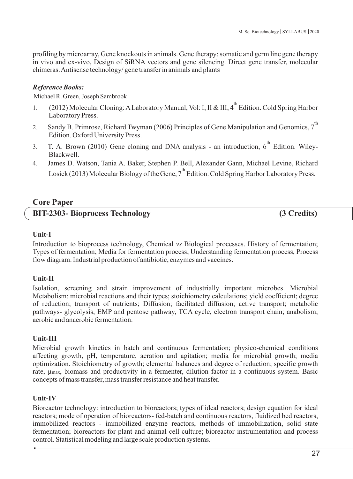profiling by microarray, Gene knockouts in animals. Gene therapy: somatic and germ line gene therapy in vivo and ex-vivo, Design of SiRNA vectors and gene silencing. Direct gene transfer, molecular chimeras. Antisense technology/ gene transfer in animals and plants

# *Reference Books:*

Michael R. Green, Joseph Sambrook

- 1. (2012) Molecular Cloning: A Laboratory Manual, Vol: I, II & III, 4<sup>th</sup> Edition. Cold Spring Harbor Laboratory Press.
- 2. Sandy B. Primrose, Richard Twyman (2006) Principles of Gene Manipulation and Genomics,  $7^{\text{th}}$ Edition. Oxford University Press.
- 3. T. A. Brown (2010) Gene cloning and DNA analysis an introduction,  $6^{th}$  Edition. Wiley-Blackwell.
- 4. James D. Watson, Tania A. Baker, Stephen P. Bell, Alexander Gann, Michael Levine, Richard Losick (2013) Molecular Biology of the Gene,  $7^{th}$  Edition. Cold Spring Harbor Laboratory Press.

# **Core Paper**

# **BIT-2303- Bioprocess Technology (3 Credits)**

# **Unit-I**

Introduction to bioprocess technology, Chemical *vs* Biological processes. History of fermentation; Types of fermentation; Media for fermentation process; Understanding fermentation process, Process flow diagram. Industrial production of antibiotic, enzymes and vaccines.

# **Unit-II**

Isolation, screening and strain improvement of industrially important microbes. Microbial Metabolism: microbial reactions and their types; stoichiometry calculations; yield coefficient; degree of reduction; transport of nutrients; Diffusion; facilitated diffusion; active transport; metabolic pathways- glycolysis, EMP and pentose pathway, TCA cycle, electron transport chain; anabolism; aerobic and anaerobic fermentation.

# **Unit-III**

Microbial growth kinetics in batch and continuous fermentation; physico-chemical conditions affecting growth, pH, temperature, aeration and agitation; media for microbial growth; media optimization. Stoichiometry of growth; elemental balances and degree of reduction; specific growth rate, µmax, biomass and productivity in a fermenter, dilution factor in a continuous system. Basic concepts of mass transfer, mass transfer resistance and heat transfer.

# **Unit-IV**

Bioreactor technology: introduction to bioreactors; types of ideal reactors; design equation for ideal reactors; mode of operation of bioreactors- fed-batch and continuous reactors, fluidized bed reactors, immobilized reactors - immobilized enzyme reactors, methods of immobilization, solid state fermentation; bioreactors for plant and animal cell culture; bioreactor instrumentation and process control. Statistical modeling and large scale production systems.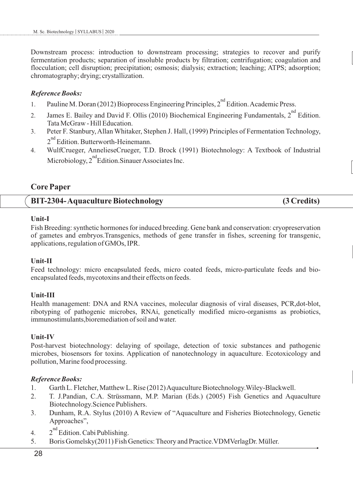Downstream process: introduction to downstream processing; strategies to recover and purify fermentation products; separation of insoluble products by filtration; centrifugation; coagulation and flocculation; cell disruption; precipitation; osmosis; dialysis; extraction; leaching; ATPS; adsorption; chromatography; drying; crystallization.

#### *Reference Books:*

- 1. Pauline M. Doran (2012) Bioprocess Engineering Principles, 2<sup>nd</sup> Edition. Academic Press.
- 2. James E. Bailey and David F. Ollis (2010) Biochemical Engineering Fundamentals, 2<sup>nd</sup> Edition. Tata McGraw - Hill Education.
- 3. Peter F. Stanbury, Allan Whitaker, Stephen J. Hall, (1999) Principles of Fermentation Technology,  $2<sup>nd</sup>$  Edition. Butterworth-Heinemann.
- 4. WulfCrueger, AnnelieseCrueger, T.D. Brock (1991) Biotechnology: A Textbook of Industrial Microbiology,  $2^{nd}$ Edition.Sinauer Associates Inc.

# **Core Paper**

## **BIT-2304- Aquaculture Biotechnology (3 Credits)**

#### **Unit-I**

Fish Breeding: synthetic hormones for induced breeding. Gene bank and conservation: cryopreservation of gametes and embryos.Transgenics, methods of gene transfer in fishes, screening for transgenic, applications, regulation of GMOs, IPR.

## **Unit-II**

Feed technology: micro encapsulated feeds, micro coated feeds, micro-particulate feeds and bioencapsulated feeds, mycotoxins and their effects on feeds.

## **Unit-III**

Health management: DNA and RNA vaccines, molecular diagnosis of viral diseases, PCR,dot-blot, ribotyping of pathogenic microbes, RNAi, genetically modified micro-organisms as probiotics, immunostimulants,bioremediation of soil and water.

## **Unit-IV**

Post-harvest biotechnology: delaying of spoilage, detection of toxic substances and pathogenic microbes, biosensors for toxins. Application of nanotechnology in aquaculture. Ecotoxicology and pollution, Marine food processing.

- 1. Garth L. Fletcher, Matthew L. Rise (2012) Aquaculture Biotechnology.Wiley-Blackwell.
- 2. T. J.Pandian, C.A. Strüssmann, M.P. Marian (Eds.) (2005) Fish Genetics and Aquaculture Biotechnology.Science Publishers.
- 3. Dunham, R.A. Stylus (2010) A Review of "Aquaculture and Fisheries Biotechnology, Genetic Approaches",
- 4.  $2^{nd}$  Edition. Cabi Publishing.
- 5. Boris Gomelsky(2011) Fish Genetics: Theory and Practice.VDMVerlagDr. Müller.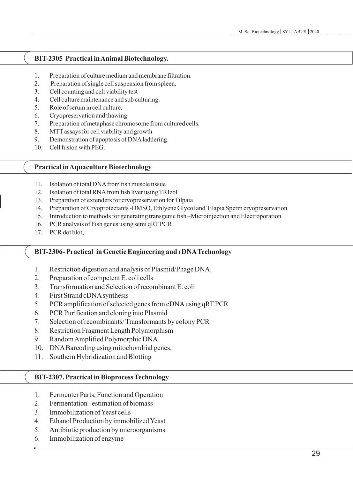# **BIT-2305 Practical in Animal Biotechnology.**

- 1. Preparation of culture medium and membrane filtration.
- 2. Preparation of single cell suspension from spleen.
- 3. Cell counting and cell viability test
- 4. Cell culture maintenance and sub culturing.
- 5. Role of serum in cell culture.
- 6. Cryopreservation and thawing
- 7. Preparation of metaphase chromosome from cultured cells.
- 8. MTTassays for cell viability and growth
- 9. Demonstration of apoptosis of DNAladdering.
- 10. Cell fusion with PEG.

#### **Practical in Aquaculture Biotechnology**

- 11. Isolation of total DNAfrom fish muscle tissue
- 12. Isolation of total RNAfrom fish liver using TRIzol
- 13. Preparation of extenders for cryopreservation for Tilpaia
- 14. Preparation of Cryoprotectants -DMSO, Ethlyene Glycol and Tilapia Sperm cryopreservation
- 15. Introduction to methods for generating transgenic fish –Microinjection and Electroporation
- 16. PCR analysis of Fish genes using semi qRTPCR
- 17. PCR dot blot,

## **BIT-2306- Practical in Genetic Engineering and rDNATechnology**

- 1. Restriction digestion and analysis of Plasmid/Phage DNA.
- 2. Preparation of competent E. coli cells
- 3. Transformation and Selection of recombinant E. coli
- 4. First Strand cDNAsynthesis
- 5. PCR amplification of selected genes from cDNAusing qRTPCR
- 6. PCR Purification and cloning into Plasmid
- 7. Selection of recombinants/ Transformants by colony PCR
- 8. Restriction Fragment Length Polymorphism
- 9. Random Amplified Polymorphic DNA
- 10. DNABarcoding using mitochondrial genes.
- 11. Southern Hybridization and Blotting

## **BIT-2307. Practical in Bioprocess Technology**

- 1. Fermenter Parts, Function and Operation
- 2. Fermentation estimation of biomass
- 3. Immobilization of Yeast cells
- 4. Ethanol Production by immobilized Yeast
- 5. Antibiotic production by microorganisms
- 6. Immobilization of enzyme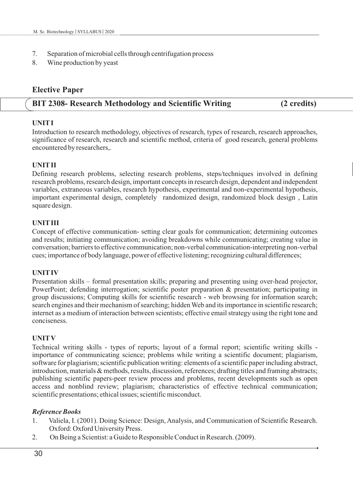- 7. Separation of microbial cells through centrifugation process
- 8. Wine production by yeast

# **Elective Paper**

# **BIT 2308- Research Methodology and Scientific Writing (2 credits)**

#### **UNITI**

Introduction to research methodology, objectives of research, types of research, research approaches, significance of research, research and scientific method, criteria of good research, general problems encountered by researchers,.

# **UNITII**

Defining research problems, selecting research problems, steps/techniques involved in defining research problems, research design, important concepts in research design, dependent and independent variables, extraneous variables, research hypothesis, experimental and non-experimental hypothesis, important experimental design, completely randomized design, randomized block design , Latin square design.

## **UNITIII**

Concept of effective communication- setting clear goals for communication; determining outcomes and results; initiating communication; avoiding breakdowns while communicating; creating value in conversation; barriers to effective communication; non-verbal communication-interpreting non-verbal cues; importance of body language, power of effective listening; recognizing cultural differences;

## **UNITIV**

Presentation skills – formal presentation skills; preparing and presenting using over-head projector, PowerPoint; defending interrogation; scientific poster preparation & presentation; participating in group discussions; Computing skills for scientific research - web browsing for information search; search engines and their mechanism of searching; hidden Web and its importance in scientific research; internet as a medium of interaction between scientists; effective email strategy using the right tone and conciseness.

## **UNITV**

Technical writing skills - types of reports; layout of a formal report; scientific writing skills importance of communicating science; problems while writing a scientific document; plagiarism, software for plagiarism; scientific publication writing: elements of a scientific paper including abstract, introduction, materials & methods, results, discussion, references; drafting titles and framing abstracts; publishing scientific papers-peer review process and problems, recent developments such as open access and nonblind review; plagiarism; characteristics of effective technical communication; scientific presentations; ethical issues; scientific misconduct.

- 1. Valiela, I. (2001). Doing Science: Design, Analysis, and Communication of Scientific Research. Oxford: Oxford University Press.
- 2. On Being a Scientist: a Guide to Responsible Conduct in Research. (2009).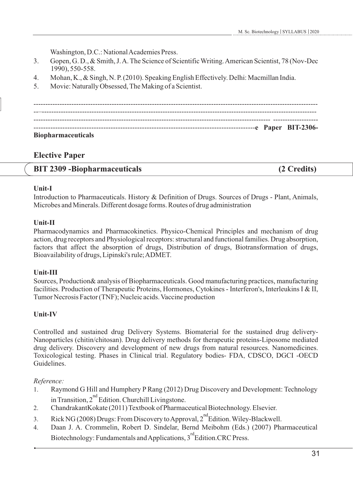Washington, D.C.: National Academies Press.

- 3. Gopen, G. D., & Smith, J. A. The Science of Scientific Writing. American Scientist, 78 (Nov-Dec 1990), 550-558.
- 4. Mohan, K., & Singh, N. P. (2010). Speaking English Effectively. Delhi: Macmillan India.
- 5. Movie: Naturally Obsessed, The Making of a Scientist.

------------------------------------------------------------------------------------------------------------------------ --–-------------------------------------------------------------------------------------------------------------------- ---------------------------------------------------------------------------------------------------- ------------------- --------------------------------------------------------------------------------------------**e Paper BIT-2306- Biopharmaceuticals**

# **Elective Paper**

# **BIT 2309 -Biopharmaceuticals (2 Credits)**

#### **Unit-I**

Introduction to Pharmaceuticals. History & Definition of Drugs. Sources of Drugs - Plant, Animals, Microbes and Minerals. Different dosage forms. Routes of drug administration

# **Unit-II**

Pharmacodynamics and Pharmacokinetics. Physico-Chemical Principles and mechanism of drug action, drug receptors and Physiological receptors: structural and functional families. Drug absorption, factors that affect the absorption of drugs, Distribution of drugs, Biotransformation of drugs, Bioavailability of drugs, Lipinski's rule; ADMET.

# **Unit-III**

Sources, Production& analysis of Biopharmaceuticals. Good manufacturing practices, manufacturing facilities. Production of Therapeutic Proteins, Hormones, Cytokines - Interferon's, Interleukins I & II, Tumor Necrosis Factor (TNF); Nucleic acids. Vaccine production

# **Unit-IV**

Controlled and sustained drug Delivery Systems. Biomaterial for the sustained drug delivery-Nanoparticles (chitin/chitosan). Drug delivery methods for therapeutic proteins-Liposome mediated drug delivery. Discovery and development of new drugs from natural resources. Nanomedicines. Toxicological testing. Phases in Clinical trial. Regulatory bodies- FDA, CDSCO, DGCI -OECD Guidelines.

## *Reference:*

- 1. Raymond G Hill and Humphery PRang (2012) Drug Discovery and Development: Technology in Transition,  $2<sup>nd</sup>$  Edition. Churchill Livingstone.
- 2. ChandrakantKokate (2011) Textbook of Pharmaceutical Biotechnology. Elsevier.
- 3. Rick NG (2008) Drugs: From Discovery to Approval,  $2^{nd}$  Edition. Wiley-Blackwell.
- 4. Daan J. A. Crommelin, Robert D. Sindelar, Bernd Meibohm (Eds.) (2007) Pharmaceutical Biotechnology: Fundamentals and Applications, 3<sup>rd</sup> Edition.CRC Press.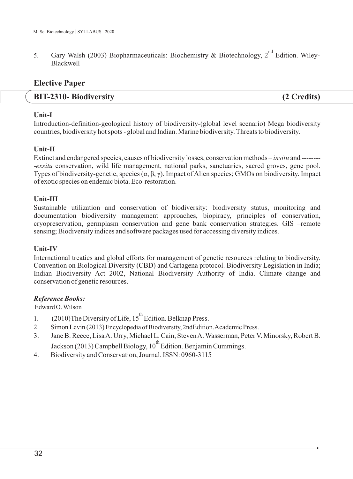5. Gary Walsh (2003) Biopharmaceuticals: Biochemistry & Biotechnology,  $2^{nd}$  Edition. Wiley-Blackwell

# **Elective Paper**

# **BIT-2310- Biodiversity (2 Credits)**

# **Unit-I**

Introduction-definition-geological history of biodiversity-(global level scenario) Mega biodiversity countries, biodiversity hot spots - global and Indian. Marine biodiversity. Threats to biodiversity.

# **Unit-II**

Extinct and endangered species, causes of biodiversity losses, conservation methods – *insitu* and -------- -*exsitu* conservation, wild life management, national parks, sanctuaries, sacred groves, gene pool. Types of biodiversity-genetic, species (α, β, γ). Impact of Alien species; GMOs on biodiversity. Impact of exotic species on endemic biota. Eco-restoration.

# **Unit-III**

Sustainable utilization and conservation of biodiversity: biodiversity status, monitoring and documentation biodiversity management approaches, biopiracy, principles of conservation, cryopreservation, germplasm conservation and gene bank conservation strategies. GIS –remote sensing; Biodiversity indices and software packages used for accessing diversity indices.

## **Unit-IV**

International treaties and global efforts for management of genetic resources relating to biodiversity. Convention on Biological Diversity (CBD) and Cartagena protocol. Biodiversity Legislation in India; Indian Biodiversity Act 2002, National Biodiversity Authority of India. Climate change and conservation of genetic resources.

## *Reference Books:*

Edward O. Wilson

- 1. (2010)The Diversity of Life, 15<sup>th</sup> Edition. Belknap Press.
- 2. Simon Levin (2013) Encyclopedia of Biodiversity, 2ndEdition.Academic Press.
- 3. Jane B. Reece, Lisa A. Urry, Michael L. Cain, Steven A. Wasserman, Peter V. Minorsky, Robert B. Jackson (2013) Campbell Biology,  $10^{th}$  Edition. Benjamin Cummings.
- 4. Biodiversity and Conservation, Journal. ISSN: 0960-3115